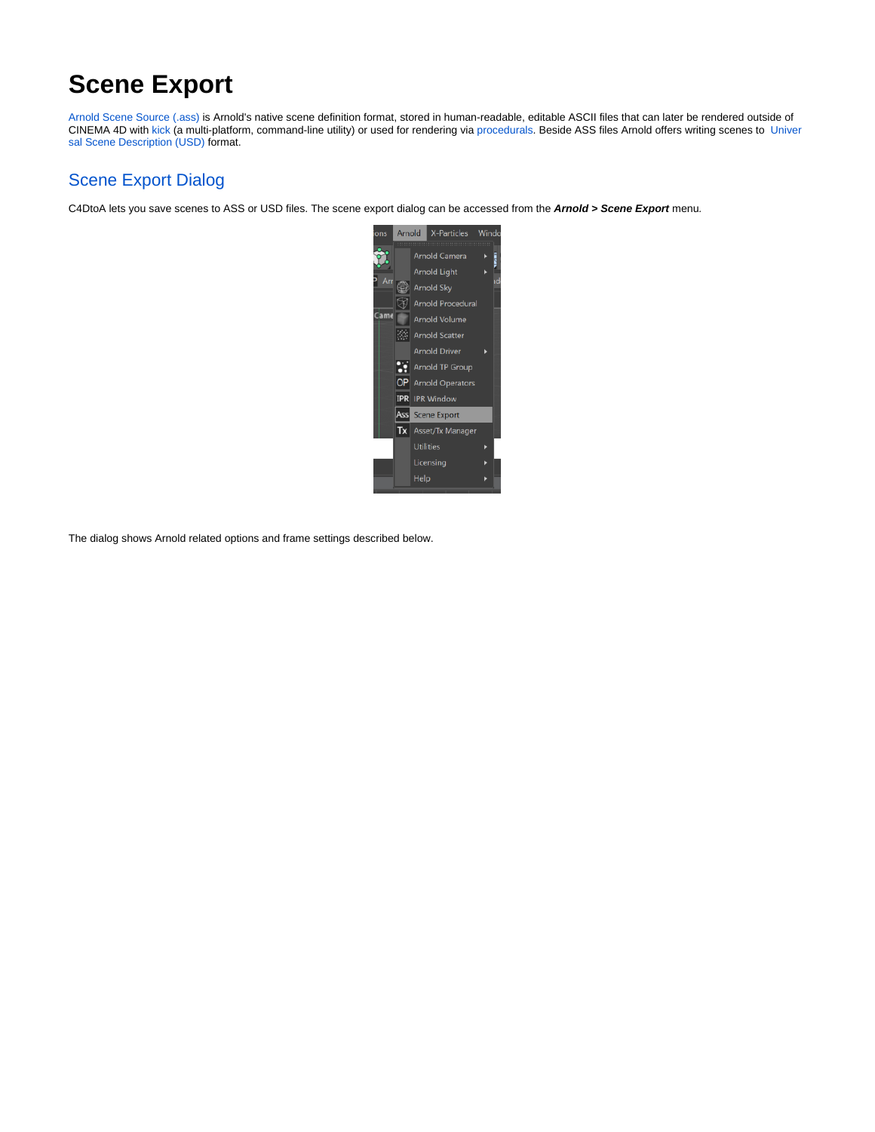# **Scene Export**

[Arnold Scene Source \(.ass\)](https://docs.arnoldrenderer.com/pages/viewpage.action?pageId=36110427) is Arnold's native scene definition format, stored in human-readable, editable ASCII files that can later be rendered outside of CINEMA 4D with [kick](https://docs.arnoldrenderer.com/display/A5AFCUG/Getting+Started+with+Kick) (a multi-platform, command-line utility) or used for rendering via [procedurals](https://docs.arnoldrenderer.com/display/A5AFCUG/Arnold+Procedural). Beside ASS files Arnold offers writing scenes to [Univer](https://graphics.pixar.com/usd/docs/index.html) [sal Scene Description \(USD\)](https://graphics.pixar.com/usd/docs/index.html) format.

## Scene Export Dialog

C4DtoA lets you save scenes to ASS or USD files. The scene export dialog can be accessed from the **Arnold > Scene Export** menu.



The dialog shows Arnold related options and frame settings described below.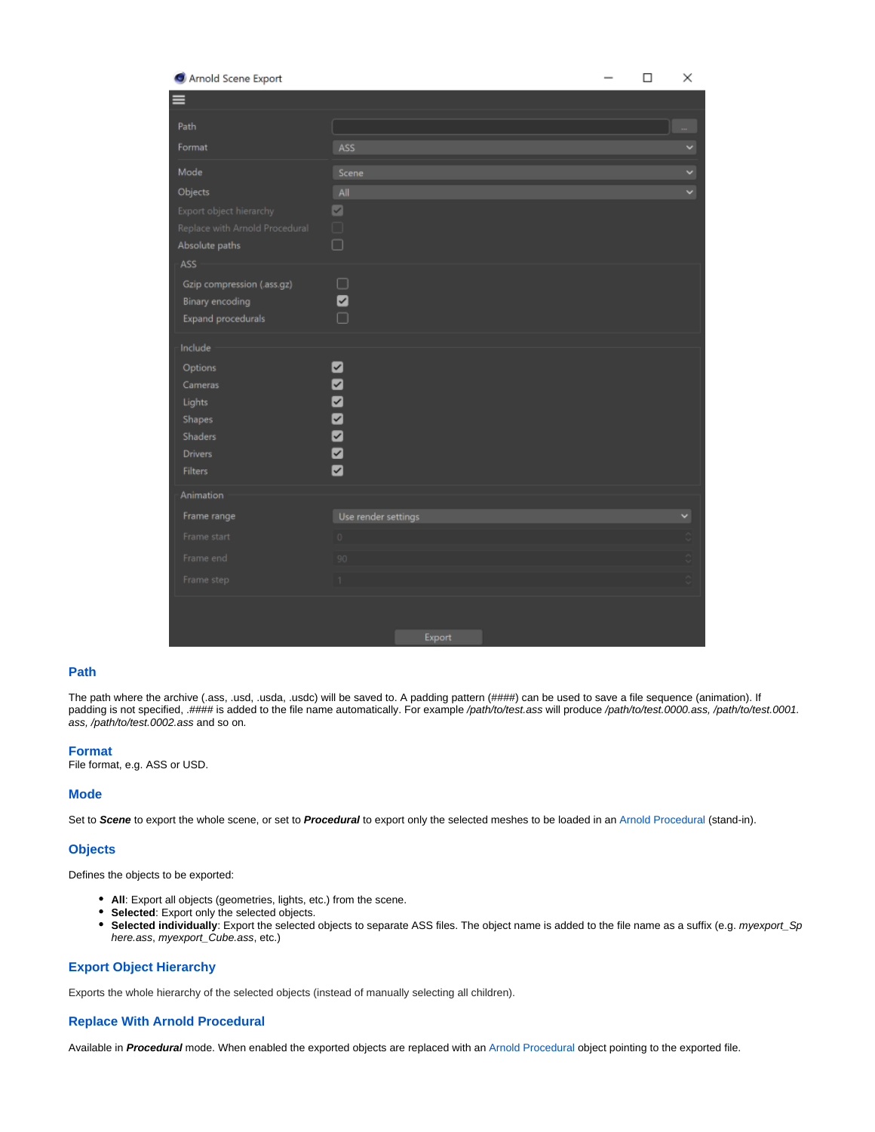| Arnold Scene Export                           |                     |        |  | $\Box$ | × |
|-----------------------------------------------|---------------------|--------|--|--------|---|
| ≡                                             |                     |        |  |        |   |
| Path                                          |                     |        |  |        |   |
| Format                                        | ASS                 |        |  |        |   |
| Mode                                          | Scene               |        |  |        | v |
| Objects                                       | All                 |        |  |        | v |
| Export object hierarchy                       | $\blacksquare$      |        |  |        |   |
| Replace with Arnold Procedural                | $\Box$              |        |  |        |   |
| Absolute paths                                | $\Box$              |        |  |        |   |
| ASS                                           |                     |        |  |        |   |
| Gzip compression (.ass.gz)<br>Binary encoding | $\Box$<br>Ø         |        |  |        |   |
| Expand procedurals                            | $\Box$              |        |  |        |   |
|                                               |                     |        |  |        |   |
| Include                                       |                     |        |  |        |   |
| Options<br>Cameras                            | ◘                   |        |  |        |   |
| Lights                                        | 888888              |        |  |        |   |
| Shapes                                        |                     |        |  |        |   |
| Shaders                                       |                     |        |  |        |   |
| <b>Drivers</b>                                |                     |        |  |        |   |
| Filters                                       |                     |        |  |        |   |
| Animation                                     |                     |        |  |        |   |
| Frame range                                   | Use render settings |        |  |        |   |
| Frame start                                   | $\circ$             |        |  |        |   |
| Frame end                                     | 90                  |        |  |        |   |
| Frame step                                    | 1                   |        |  |        |   |
|                                               |                     |        |  |        |   |
|                                               |                     |        |  |        |   |
|                                               |                     | Export |  |        |   |

#### **Path**

The path where the archive (.ass, .usd, .usda, .usdc) will be saved to. A padding pattern (####) can be used to save a file sequence (animation). If padding is not specified, .#### is added to the file name automatically. For example /path/to/test.ass will produce /path/to/test.0000.ass, /path/to/test.0001. ass, /path/to/test.0002.ass and so on.

#### **Format**

File format, e.g. ASS or USD.

#### **Mode**

Set to **Scene** to export the whole scene, or set to **Procedural** to export only the selected meshes to be loaded in an [Arnold Procedural](https://docs.arnoldrenderer.com/display/A5AFCUG/Arnold+Procedural) (stand-in).

#### **Objects**

Defines the objects to be exported:

- **All**: Export all objects (geometries, lights, etc.) from the scene.
- **Selected**: Export only the selected objects.
- **Selected individually**: Export the selected objects to separate ASS files. The object name is added to the file name as a suffix (e.g. myexport\_Sp here.ass, myexport\_Cube.ass, etc.)

## **Export Object Hierarchy**

Exports the whole hierarchy of the selected objects (instead of manually selecting all children).

#### **Replace With Arnold Procedural**

Available in **Procedural** mode. When enabled the exported objects are replaced with an [Arnold Procedural](https://docs.arnoldrenderer.com/display/A5AFCUG/Arnold+Procedural) object pointing to the exported file.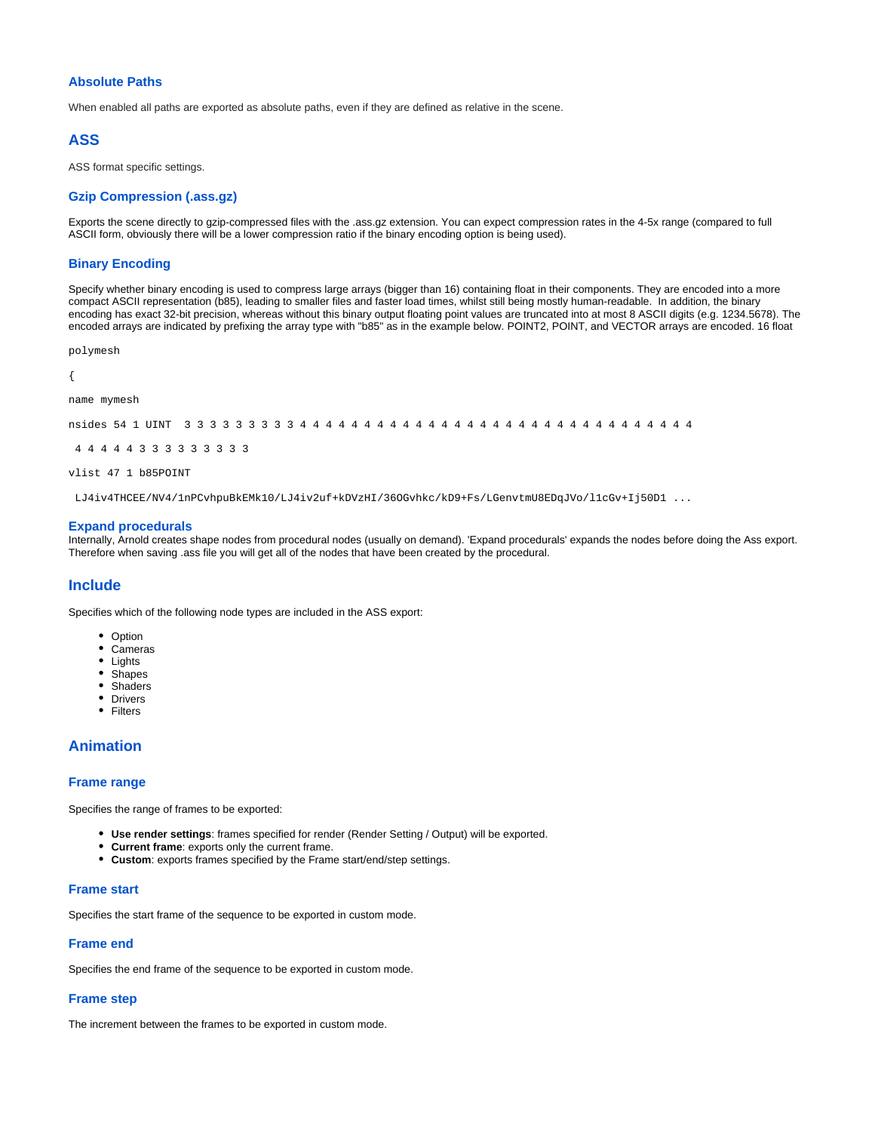#### **Absolute Paths**

When enabled all paths are exported as absolute paths, even if they are defined as relative in the scene.

#### **ASS**

ASS format specific settings.

#### **Gzip Compression (.ass.gz)**

Exports the scene directly to gzip-compressed files with the .ass.gz extension. You can expect compression rates in the 4-5x range (compared to full ASCII form, obviously there will be a lower compression ratio if the binary encoding option is being used).

#### **Binary Encoding**

Specify whether binary encoding is used to compress large arrays (bigger than 16) containing float in their components. They are encoded into a more compact ASCII representation (b85), leading to smaller files and faster load times, whilst still being mostly human-readable. In addition, the binary encoding has exact 32-bit precision, whereas without this binary output floating point values are truncated into at most 8 ASCII digits (e.g. 1234.5678). The encoded arrays are indicated by prefixing the array type with "b85" as in the example below. POINT2, POINT, and VECTOR arrays are encoded. 16 float

polymesh

{

```
name mymesh
```
nsides 54 1 UINT 3 3 3 3 3 3 3 3 3 4 4 4 4 4 4 4 4 4 4 4 4 4 4 4 4 4 4 4 4 4 4 4 4 4 4 4 4 4 4 4

```
 4 4 4 4 4 3 3 3 3 3 3 3 3 3
```
vlist 47 1 b85POINT

LJ4iv4THCEE/NV4/1nPCvhpuBkEMk10/LJ4iv2uf+kDVzHI/36OGvhkc/kD9+Fs/LGenvtmU8EDqJVo/l1cGv+Ij50D1 ...

#### **Expand procedurals**

Internally, Arnold creates shape nodes from procedural nodes (usually on demand). 'Expand procedurals' expands the nodes before doing the Ass export. Therefore when saving .ass file you will get all of the nodes that have been created by the procedural.

#### **Include**

Specifies which of the following node types are included in the ASS export:

- Option
- Cameras
- Lights
- Shapes • Shaders
- Drivers
- Filters

## **Animation**

### <span id="page-2-0"></span>**[Frame range](#page-2-0)**

Specifies the range of frames to be exported:

- **Use render settings**: frames specified for render (Render Setting / Output) will be exported.
- **Current frame**: exports only the current frame.
- **Custom**: exports frames specified by the Frame start/end/step settings.

### **Frame start**

Specifies the start frame of the sequence to be exported in custom mode.

### **Frame end**

Specifies the end frame of the sequence to be exported in custom mode.

### **Frame step**

The increment between the frames to be exported in custom mode.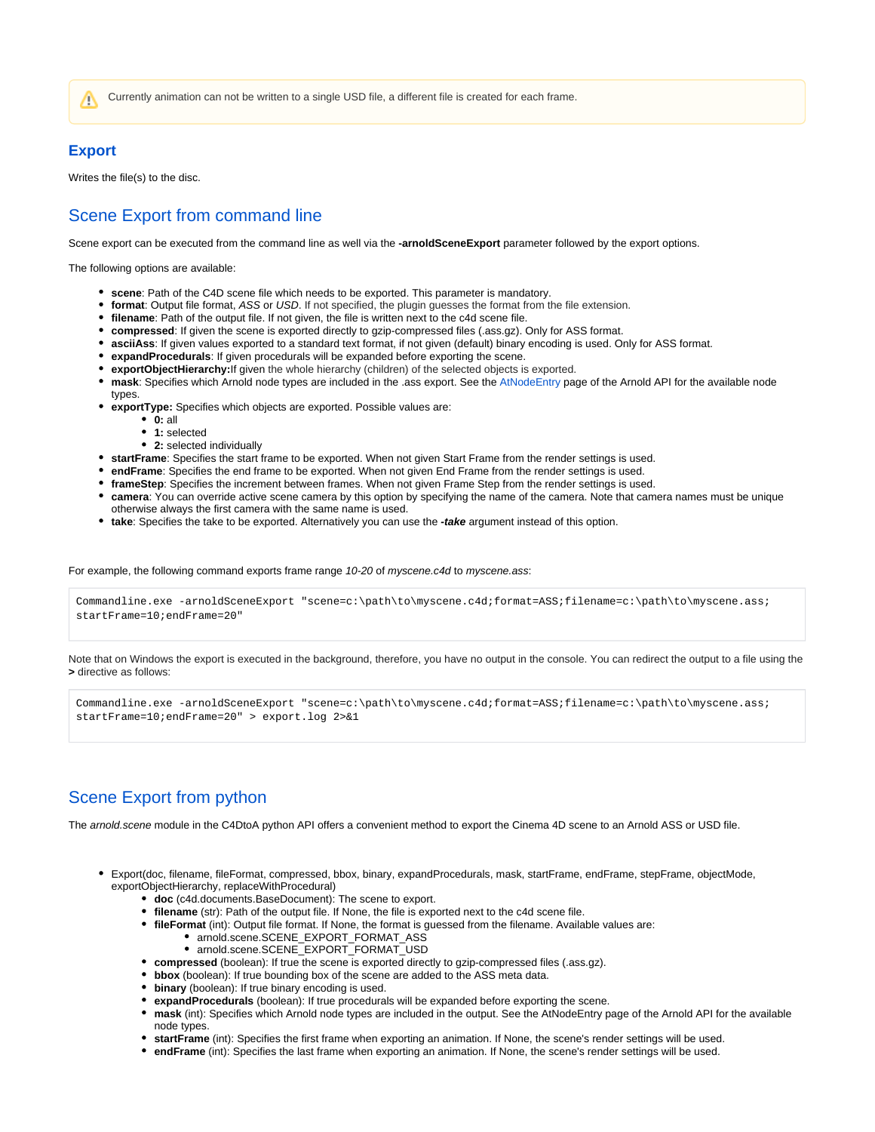Currently animation can not be written to a single USD file, a different file is created for each frame.

## **Export**

Λ

Writes the file(s) to the disc.

## Scene Export from command line

Scene export can be executed from the command line as well via the **-arnoldSceneExport** parameter followed by the export options.

The following options are available:

- **scene**: Path of the C4D scene file which needs to be exported. This parameter is mandatory.
- **format**: Output file format, ASS or USD. If not specified, the plugin guesses the format from the file extension.
- **filename**: Path of the output file. If not given, the file is written next to the c4d scene file.
- **compressed**: If given the scene is exported directly to gzip-compressed files (.ass.gz). Only for ASS format.
- **asciiAss**: If given values exported to a standard text format, if not given (default) binary encoding is used. Only for ASS format.
- **expandProcedurals**: If given procedurals will be expanded before exporting the scene.
- **exportObjectHierarchy:**If given the whole hierarchy (children) of the selected objects is exported.
- **mask**: Specifies which Arnold node types are included in the .ass export. See the [AtNodeEntry](https://docs.arnoldrenderer.com/api/arnold-6.2.0.1/group__ai__node__entry.html) page of the Arnold API for the available node types.
- **exportType:** Specifies which objects are exported. Possible values are:
	- **0:** all
	- **1:** selected
	- **2:** selected individually
- **startFrame**: Specifies the start frame to be exported. When not given Start Frame from the render settings is used.
- **endFrame**: Specifies the end frame to be exported. When not given End Frame from the render settings is used.
- **frameStep**: Specifies the increment between frames. When not given Frame Step from the render settings is used.
- **camera**: You can override active scene camera by this option by specifying the name of the camera. Note that camera names must be unique otherwise always the first camera with the same name is used.
- **take**: Specifies the take to be exported. Alternatively you can use the **-take** argument instead of this option.

For example, the following command exports frame range 10-20 of myscene.c4d to myscene.ass:

Commandline.exe -arnoldSceneExport "scene=c:\path\to\myscene.c4d;format=ASS;filename=c:\path\to\myscene.ass; startFrame=10;endFrame=20"

Note that on Windows the export is executed in the background, therefore, you have no output in the console. You can redirect the output to a file using the **>** directive as follows:

Commandline.exe -arnoldSceneExport "scene=c:\path\to\myscene.c4d;format=ASS;filename=c:\path\to\myscene.ass; startFrame=10;endFrame=20" > export.log 2>&1

## Scene Export from python

The arnold.scene module in the C4DtoA python API offers a convenient method to export the Cinema 4D scene to an Arnold ASS or USD file.

- Export(doc, filename, fileFormat, compressed, bbox, binary, expandProcedurals, mask, startFrame, endFrame, stepFrame, objectMode, exportObjectHierarchy, replaceWithProcedural)
	- **doc** (c4d.documents.BaseDocument): The scene to export.
	- **filename** (str): Path of the output file. If None, the file is exported next to the c4d scene file.
	- **fileFormat** (int): Output file format. If None, the format is guessed from the filename. Available values are:
		- arnold.scene.SCENE\_EXPORT\_FORMAT\_ASS
		- arnold.scene.SCENE\_EXPORT\_FORMAT\_USD
	- **compressed** (boolean): If true the scene is exported directly to gzip-compressed files (.ass.gz).
	- **bbox** (boolean): If true bounding box of the scene are added to the ASS meta data.
	- **binary** (boolean): If true binary encoding is used.
	- **expandProcedurals** (boolean): If true procedurals will be expanded before exporting the scene.
	- **mask** (int): Specifies which Arnold node types are included in the output. See the AtNodeEntry page of the Arnold API for the available node types.
	- **startFrame** (int): Specifies the first frame when exporting an animation. If None, the scene's render settings will be used.
	- **endFrame** (int): Specifies the last frame when exporting an animation. If None, the scene's render settings will be used.